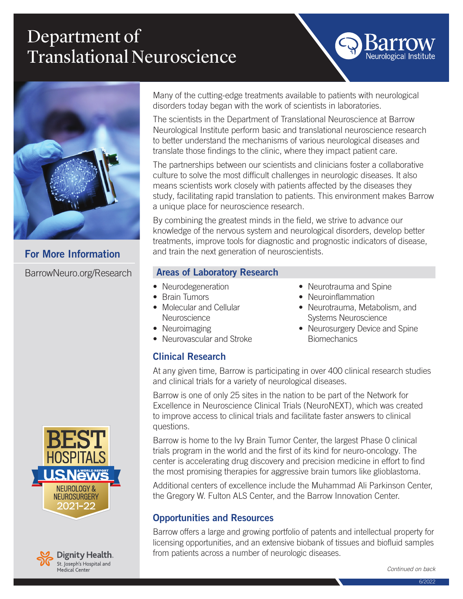# Department of Translational Neuroscience



For More Information

BarrowNeuro.org/Research

Many of the cutting-edge treatments available to patients with neurological disorders today began with the work of scientists in laboratories.

The scientists in the Department of Translational Neuroscience at Barrow Neurological Institute perform basic and translational neuroscience research to better understand the mechanisms of various neurological diseases and translate those findings to the clinic, where they impact patient care.

The partnerships between our scientists and clinicians foster a collaborative culture to solve the most difficult challenges in neurologic diseases. It also means scientists work closely with patients affected by the diseases they study, facilitating rapid translation to patients. This environment makes Barrow a unique place for neuroscience research.

By combining the greatest minds in the field, we strive to advance our knowledge of the nervous system and neurological disorders, develop better treatments, improve tools for diagnostic and prognostic indicators of disease, and train the next generation of neuroscientists.

### Areas of Laboratory Research

- Neurodegeneration
- Brain Tumors
- Molecular and Cellular **Neuroscience**
- Neuroimaging

Clinical Research

• Neurovascular and Stroke

- Neurotrauma and Spine
- Neuroinflammation
- Neurotrauma, Metabolism, and Systems Neuroscience

Neurological Institute

• Neurosurgery Device and Spine **Biomechanics** 

At any given time, Barrow is participating in over 400 clinical research studies and clinical trials for a variety of neurological diseases.

Barrow is one of only 25 sites in the nation to be part of the Network for Excellence in Neuroscience Clinical Trials (NeuroNEXT), which was created to improve access to clinical trials and facilitate faster answers to clinical questions.

Barrow is home to the Ivy Brain Tumor Center, the largest Phase 0 clinical trials program in the world and the first of its kind for neuro-oncology. The center is accelerating drug discovery and precision medicine in effort to find the most promising therapies for aggressive brain tumors like glioblastoma.

Additional centers of excellence include the Muhammad Ali Parkinson Center, the Gregory W. Fulton ALS Center, and the Barrow Innovation Center.

## Opportunities and Resources

Barrow offers a large and growing portfolio of patents and intellectual property for licensing opportunities, and an extensive biobank of tissues and biofluid samples from patients across a number of neurologic diseases.

*Continued on back*